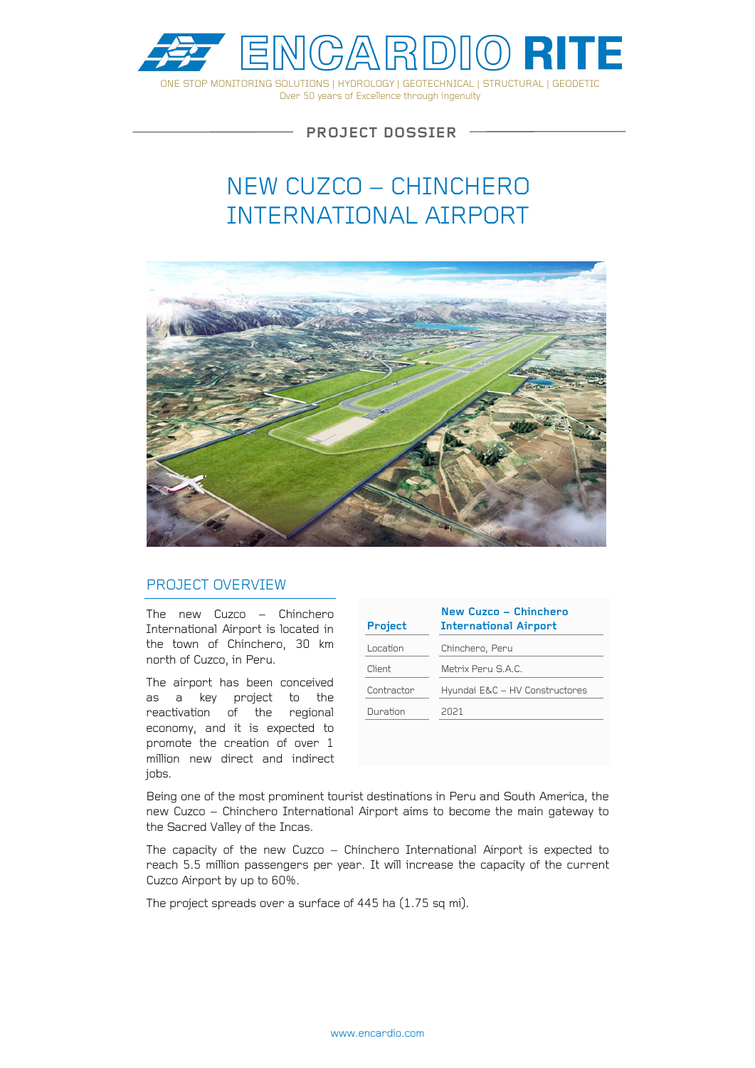

**PROJECT DOSSIER**

# NEW CUZCO – CHINCHERO INTERNATIONAL AIRPORT



#### PROJECT OVERVIEW

The new Cuzco – Chinchero International Airport is located in the town of Chinchero, 30 km north of Cuzco, in Peru.

The airport has been conceived as a key project to the reactivation of the regional economy, and it is expected to promote the creation of over 1 million new direct and indirect jobs.

| Project    | New Cuzco - Chinchero<br><b>International Airport</b> |
|------------|-------------------------------------------------------|
| Location   | Chinchero, Peru                                       |
| Client     | Metrix Peru S A C                                     |
| Contractor | Hyundai E&C - HV Constructores                        |
| Duration   | 2021                                                  |
|            |                                                       |

Being one of the most prominent tourist destinations in Peru and South America, the new Cuzco – Chinchero International Airport aims to become the main gateway to the Sacred Valley of the Incas.

The capacity of the new Cuzco – Chinchero International Airport is expected to reach 5.5 million passengers per year. It will increase the capacity of the current Cuzco Airport by up to 60%.

The project spreads over a surface of 445 ha (1.75 sq mi).